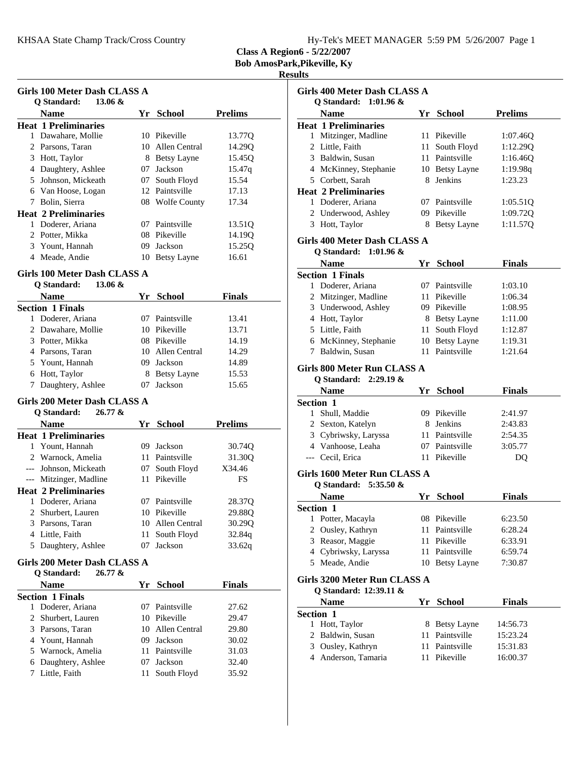**Class A Region6 - 5/22/2007**

**Bob AmosPark,Pikeville, Ky**

|              | Girls 100 Meter Dash CLASS A<br>13.06 &<br>O Standard: |     |                  |                |
|--------------|--------------------------------------------------------|-----|------------------|----------------|
|              | <b>Name</b>                                            |     | Yr School        | <b>Prelims</b> |
|              | <b>Heat 1 Preliminaries</b>                            |     |                  |                |
|              | 1 Dawahare, Mollie                                     |     | 10 Pikeville     | 13.770         |
|              | 2 Parsons, Taran                                       |     | 10 Allen Central | 14.290         |
|              | 3 Hott, Taylor                                         |     | 8 Betsy Layne    | 15.45Q         |
|              | 4 Daughtery, Ashlee                                    | 07  | Jackson          | 15.47q         |
|              | 5 Johnson, Mickeath                                    | 07  | South Floyd      | 15.54          |
|              | 6 Van Hoose, Logan                                     |     | 12 Paintsville   | 17.13          |
|              | 7 Bolin, Sierra                                        |     |                  | 17.34          |
|              | <b>Heat 2 Preliminaries</b>                            |     | 08 Wolfe County  |                |
|              |                                                        |     | 07 Paintsville   |                |
|              | 1 Doderer, Ariana                                      |     |                  | 13.51Q         |
|              | 2 Potter, Mikka                                        |     | 08 Pikeville     | 14.19Q         |
|              | 3 Yount, Hannah                                        |     | 09 Jackson       | 15.25Q         |
|              | 4 Meade, Andie                                         |     | 10 Betsy Layne   | 16.61          |
|              | Girls 100 Meter Dash CLASS A                           |     |                  |                |
|              | Q Standard:<br>$13.06 \&$                              |     |                  |                |
|              | Name                                                   |     | Yr School        | <b>Finals</b>  |
|              | <b>Section 1 Finals</b>                                |     |                  |                |
| 1            | Doderer, Ariana                                        |     | 07 Paintsville   | 13.41          |
|              | 2 Dawahare, Mollie                                     |     | 10 Pikeville     | 13.71          |
|              | 3 Potter, Mikka                                        |     | 08 Pikeville     | 14.19          |
|              | 4 Parsons, Taran                                       |     | 10 Allen Central | 14.29          |
|              | 5 Yount, Hannah                                        |     | 09 Jackson       | 14.89          |
|              | 6 Hott, Taylor                                         |     | 8 Betsy Layne    | 15.53          |
|              | 7 Daughtery, Ashlee                                    | 07  | Jackson          | 15.65          |
|              |                                                        |     |                  |                |
|              | Girls 200 Meter Dash CLASS A<br>Q Standard:<br>26.77 & |     |                  |                |
|              | <b>Name</b>                                            |     | Yr School        | <b>Prelims</b> |
|              | <b>Heat 1 Preliminaries</b>                            |     |                  |                |
|              | 1 Yount, Hannah                                        | 09. | Jackson          | 30.74Q         |
|              |                                                        |     |                  |                |
|              | 2 Warnock, Amelia                                      | 11  | Paintsville      | 31.30Q         |
|              | --- Johnson, Mickeath                                  | 07  | South Floyd      | X34.46         |
|              | --- Mitzinger, Madline                                 | 11  | Pikeville        | FS             |
|              | <b>Heat 2 Preliminaries</b>                            |     |                  |                |
| 1            | Doderer, Ariana                                        | 07  | Paintsville      | 28.37Q         |
|              | 2 Shurbert, Lauren                                     |     | 10 Pikeville     | 29.88Q         |
|              | 3 Parsons, Taran                                       |     | 10 Allen Central | 30.29Q         |
|              | 4 Little, Faith                                        | 11  | South Floyd      | 32.84q         |
|              | 5 Daughtery, Ashlee                                    | 07  | Jackson          | 33.62q         |
|              | Girls 200 Meter Dash CLASS A                           |     |                  |                |
|              | Q Standard:<br>26.77 &                                 |     |                  |                |
|              | <b>Name</b>                                            |     | Yr School        | <b>Finals</b>  |
|              | <b>Section 1 Finals</b>                                |     |                  |                |
|              |                                                        |     | Paintsville      | 27.62          |
|              |                                                        |     |                  |                |
| $\mathbf{1}$ | Doderer, Ariana                                        | 07  |                  |                |
| 2            | Shurbert, Lauren                                       |     | 10 Pikeville     | 29.47          |
|              | 3 Parsons, Taran                                       | 10  | Allen Central    | 29.80          |
|              | 4 Yount, Hannah                                        |     | 09 Jackson       | 30.02          |
|              | 5 Warnock, Amelia                                      |     | 11 Paintsville   | 31.03          |
|              | 6 Daughtery, Ashlee                                    | 07  | Jackson          | 32.40          |
|              | 7 Little, Faith                                        | 11  | South Floyd      | 35.92          |

| <b>Girls 400 Meter Dash CLASS A</b> |                                                       |      |                             |                     |
|-------------------------------------|-------------------------------------------------------|------|-----------------------------|---------------------|
|                                     | O Standard: 1:01.96 &                                 |      |                             |                     |
|                                     | Name<br><b>Heat 1 Preliminaries</b>                   |      | Yr School                   | <b>Prelims</b>      |
|                                     | 1 Mitzinger, Madline                                  |      | 11 Pikeville                | 1:07.46Q            |
|                                     | 2 Little, Faith                                       |      | 11 South Floyd              | 1:12.29Q            |
|                                     | 3 Baldwin, Susan                                      |      | 11 Paintsville              | 1:16.46Q            |
|                                     | 4 McKinney, Stephanie                                 |      |                             |                     |
|                                     | 5 Corbett, Sarah                                      |      | 10 Betsy Layne<br>8 Jenkins | 1:19.98q<br>1:23.23 |
|                                     |                                                       |      |                             |                     |
|                                     | <b>Heat 2 Preliminaries</b>                           |      |                             |                     |
|                                     | 1 Doderer, Ariana                                     |      | 07 Paintsville              | 1:05.51Q            |
|                                     | 2 Underwood, Ashley                                   |      | 09 Pikeville                | 1:09.72Q            |
|                                     | 3 Hott, Taylor                                        | 8    | <b>Betsy Layne</b>          | 1:11.57Q            |
|                                     | Girls 400 Meter Dash CLASS A<br>O Standard: 1:01.96 & |      |                             |                     |
|                                     | <b>Name</b>                                           |      | Yr School                   | <b>Finals</b>       |
|                                     | <b>Section 1 Finals</b>                               |      |                             |                     |
|                                     | 1 Doderer, Ariana                                     |      | 07 Paintsville              | 1:03.10             |
|                                     | 2 Mitzinger, Madline                                  |      | 11 Pikeville                | 1:06.34             |
|                                     | 3 Underwood, Ashley                                   |      | 09 Pikeville                | 1:08.95             |
|                                     | 4 Hott, Taylor                                        |      | 8 Betsy Layne               | 1:11.00             |
|                                     | 5 Little, Faith                                       | 11 - | South Floyd                 | 1:12.87             |
|                                     | 6 McKinney, Stephanie                                 |      | 10 Betsy Layne              | 1:19.31             |
|                                     | 7 Baldwin, Susan                                      |      | 11 Paintsville              | 1:21.64             |
|                                     | Girls 800 Meter Run CLASS A                           |      |                             |                     |
|                                     | Q Standard: 2:29.19 &<br><b>Name</b>                  |      | Yr School                   | <b>Finals</b>       |
|                                     | <b>Section 1</b>                                      |      |                             |                     |
|                                     | 1 Shull, Maddie                                       |      | 09 Pikeville                | 2:41.97             |
|                                     | 2 Sexton, Katelyn                                     |      | 8 Jenkins                   | 2:43.83             |
|                                     | 3 Cybriwsky, Laryssa                                  |      | 11 Paintsville              | 2:54.35             |
|                                     | 4 Vanhoose, Leaha                                     |      | 07 Paintsville              | 3:05.77             |
|                                     | --- Cecil, Erica                                      |      | 11 Pikeville                | DQ                  |
|                                     | Girls 1600 Meter Run CLASS A<br>Q Standard: 5:35.50 & |      |                             |                     |
|                                     | <b>Name</b>                                           |      | Yr School                   | <b>Finals</b>       |
|                                     | Section 1                                             |      |                             |                     |
| 1                                   | Potter, Macayla                                       |      | 08 Pikeville                | 6:23.50             |
|                                     | 2 Ousley, Kathryn                                     | 11   | Paintsville                 | 6:28.24             |
|                                     | 3 Reasor, Maggie                                      | 11-  | Pikeville                   | 6:33.91             |
|                                     | 4 Cybriwsky, Laryssa                                  |      | 11 Paintsville              | 6:59.74             |
|                                     | 5 Meade, Andie                                        |      | 10 Betsy Layne              | 7:30.87             |
|                                     | Girls 3200 Meter Run CLASS A                          |      |                             |                     |
|                                     | Q Standard: 12:39.11 &                                |      |                             |                     |
|                                     | Name                                                  | Yr   | <b>School</b>               | <b>Finals</b>       |
|                                     | Section 1                                             |      |                             |                     |
| $\mathbf{1}$                        | Hott, Taylor                                          |      | 8 Betsy Layne               | 14:56.73            |
|                                     | 2 Baldwin, Susan                                      | 11-  | Paintsville                 | 15:23.24            |
|                                     | 3 Ousley, Kathryn                                     | 11-  | Paintsville                 | 15:31.83            |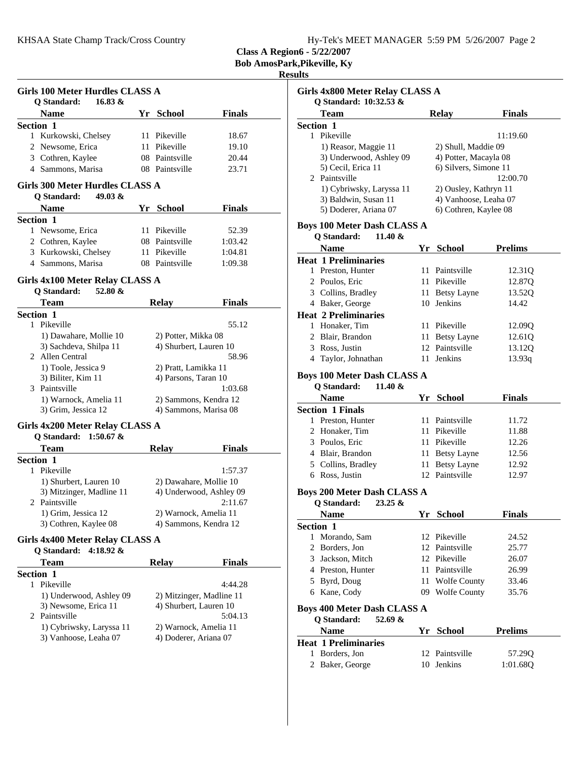**Class A Region6 - 5/22/2007**

**Bob AmosPark,Pikeville, Ky**

| Girls 100 Meter Hurdles CLASS A |                                                          |  |                                                |               |  |
|---------------------------------|----------------------------------------------------------|--|------------------------------------------------|---------------|--|
| Q Standard:                     | $16.83 \&$                                               |  |                                                |               |  |
| <b>Name</b>                     |                                                          |  | Yr School                                      | <b>Finals</b> |  |
| Section 1                       |                                                          |  |                                                |               |  |
|                                 | 1 Kurkowski, Chelsey                                     |  | 11 Pikeville                                   | 18.67         |  |
| 2 Newsome, Erica                |                                                          |  | 11 Pikeville                                   | 19.10         |  |
| 3 Cothren, Kaylee               |                                                          |  | 08 Paintsville                                 | 20.44         |  |
|                                 | 4 Sammons, Marisa                                        |  | 08 Paintsville                                 | 23.71         |  |
| Q Standard:                     | Girls 300 Meter Hurdles CLASS A<br>$49.03 \&$            |  |                                                |               |  |
| <b>Name</b>                     |                                                          |  | Yr School                                      | Finals        |  |
| <b>Section 1</b>                |                                                          |  |                                                |               |  |
| 1 Newsome, Erica                |                                                          |  | 11 Pikeville                                   | 52.39         |  |
| 2 Cothren, Kaylee               |                                                          |  | 08 Paintsville                                 | 1:03.42       |  |
|                                 | 3 Kurkowski, Chelsey                                     |  | 11 Pikeville                                   | 1:04.81       |  |
|                                 | 4 Sammons, Marisa                                        |  | 08 Paintsville                                 | 1:09.38       |  |
|                                 |                                                          |  |                                                |               |  |
|                                 | Girls 4x100 Meter Relay CLASS A                          |  |                                                |               |  |
| <b>O</b> Standard:              | 52.80 &                                                  |  |                                                |               |  |
| <b>Team</b>                     |                                                          |  | <b>Relay</b>                                   | <b>Finals</b> |  |
| <b>Section 1</b>                |                                                          |  |                                                |               |  |
| 1 Pikeville                     |                                                          |  |                                                | 55.12         |  |
|                                 | 1) Dawahare, Mollie 10                                   |  | 2) Potter, Mikka 08                            |               |  |
|                                 | 3) Sachdeva, Shilpa 11                                   |  | 4) Shurbert, Lauren 10                         |               |  |
| 2 Allen Central                 |                                                          |  |                                                | 58.96         |  |
|                                 | 1) Toole, Jessica 9                                      |  | 2) Pratt, Lamikka 11                           |               |  |
|                                 | 3) Biliter, Kim 11                                       |  | 4) Parsons, Taran 10                           |               |  |
| 3 Paintsville                   |                                                          |  |                                                | 1:03.68       |  |
|                                 | 1) Warnock, Amelia 11                                    |  | 2) Sammons, Kendra 12<br>4) Sammons, Marisa 08 |               |  |
|                                 | 3) Grim, Jessica 12                                      |  |                                                |               |  |
|                                 | Girls 4x200 Meter Relay CLASS A<br>Q Standard: 1:50.67 & |  |                                                |               |  |
| Team                            |                                                          |  | <b>Relay</b>                                   | <b>Finals</b> |  |
| Section 1                       |                                                          |  |                                                |               |  |
| 1 Pikeville                     |                                                          |  |                                                | 1:57.37       |  |
|                                 | 1) Shurbert, Lauren 10                                   |  | 2) Dawahare, Mollie 10                         |               |  |
|                                 | 3) Mitzinger, Madline 11                                 |  | 4) Underwood, Ashley 09                        |               |  |
| 2 Paintsville                   |                                                          |  |                                                | 2:11.67       |  |
|                                 | 1) Grim, Jessica 12                                      |  | 2) Warnock, Amelia 11                          |               |  |
|                                 | 3) Cothren, Kaylee 08                                    |  | 4) Sammons, Kendra 12                          |               |  |
|                                 | Girls 4x400 Meter Relay CLASS A<br>Q Standard: 4:18.92 & |  |                                                |               |  |
| Team                            |                                                          |  | <b>Relay</b>                                   | <b>Finals</b> |  |
| <b>Section 1</b>                |                                                          |  |                                                |               |  |
| 1 Pikeville                     |                                                          |  |                                                | 4:44.28       |  |
|                                 | 1) Underwood, Ashley 09                                  |  | 2) Mitzinger, Madline 11                       |               |  |
|                                 | 3) Newsome, Erica 11                                     |  | 4) Shurbert, Lauren 10                         |               |  |
| 2 Paintsville                   |                                                          |  |                                                | 5:04.13       |  |
|                                 | 1) Cybriwsky, Laryssa 11                                 |  | 2) Warnock, Amelia 11                          |               |  |
|                                 | 3) Vanhoose, Leaha 07                                    |  | 4) Doderer, Ariana 07                          |               |  |
|                                 |                                                          |  |                                                |               |  |

| Girls 4x800 Meter Relay CLASS A                              |    |                                      |                |  |  |
|--------------------------------------------------------------|----|--------------------------------------|----------------|--|--|
| Q Standard: 10:32.53 &                                       |    |                                      |                |  |  |
| <b>Team</b>                                                  |    | <b>Relay</b>                         | <b>Finals</b>  |  |  |
| Section 1<br>1 Pikeville                                     |    |                                      |                |  |  |
| 1) Reasor, Maggie 11                                         |    | 2) Shull, Maddie 09                  | 11:19.60       |  |  |
| 3) Underwood, Ashley 09                                      |    | 4) Potter, Macayla 08                |                |  |  |
| 5) Cecil, Erica 11                                           |    | 6) Silvers, Simone 11                |                |  |  |
| 2 Paintsville                                                |    |                                      | 12:00.70       |  |  |
| 1) Cybriwsky, Laryssa 11                                     |    | 2) Ousley, Kathryn 11                |                |  |  |
| 3) Baldwin, Susan 11                                         |    | 4) Vanhoose, Leaha 07                |                |  |  |
| 5) Doderer, Ariana 07                                        |    | 6) Cothren, Kaylee 08                |                |  |  |
| <b>Boys 100 Meter Dash CLASS A</b>                           |    |                                      |                |  |  |
| Q Standard:<br>11.40 &                                       |    |                                      |                |  |  |
| <b>Name</b>                                                  |    | Yr School                            | <b>Prelims</b> |  |  |
| <b>Heat 1 Preliminaries</b>                                  |    |                                      |                |  |  |
| 1 Preston, Hunter                                            |    | 11 Paintsville                       | 12.31Q         |  |  |
| 2 Poulos, Eric                                               |    | 11 Pikeville                         | 12.87Q         |  |  |
| 3 Collins, Bradley                                           |    | 11 Betsy Layne                       | 13.52Q         |  |  |
| 4 Baker, George                                              |    | 10 Jenkins                           | 14.42          |  |  |
| <b>Heat 2 Preliminaries</b>                                  |    | 11 Pikeville                         |                |  |  |
| 1 Honaker, Tim                                               |    |                                      | 12.09Q         |  |  |
| 2 Blair, Brandon                                             | 11 | <b>Betsy Layne</b><br>12 Paintsville | 12.61Q         |  |  |
| 3 Ross, Justin                                               |    | Jenkins                              | 13.12Q         |  |  |
| 4 Taylor, Johnathan                                          | 11 |                                      | 13.93q         |  |  |
| <b>Boys 100 Meter Dash CLASS A</b>                           |    |                                      |                |  |  |
| Q Standard:<br>11.40 &<br><b>Name</b>                        |    | Yr School                            | <b>Finals</b>  |  |  |
| <b>Section 1 Finals</b>                                      |    |                                      |                |  |  |
| 1 Preston, Hunter                                            |    | 11 Paintsville                       | 11.72          |  |  |
| 2 Honaker, Tim                                               |    | 11 Pikeville                         | 11.88          |  |  |
| 3 Poulos, Eric                                               |    | 11 Pikeville                         | 12.26          |  |  |
| 4 Blair, Brandon                                             |    | 11 Betsy Layne                       | 12.56          |  |  |
| 5 Collins, Bradley                                           |    | 11 Betsy Layne                       | 12.92          |  |  |
| 6 Ross, Justin                                               |    | 12 Paintsville                       | 12.97          |  |  |
| <b>Boys 200 Meter Dash CLASS A</b>                           |    |                                      |                |  |  |
| Q Standard:<br>$23.25 \&$                                    |    |                                      |                |  |  |
| Name                                                         |    | Yr School                            | Finals         |  |  |
| <b>Section 1</b>                                             |    |                                      |                |  |  |
| Morando, Sam<br>1                                            |    | 12 Pikeville                         | 24.52          |  |  |
| 2<br>Borders, Jon                                            |    | 12 Paintsville<br>12 Pikeville       | 25.77          |  |  |
| 3 Jackson, Mitch                                             |    |                                      | 26.07          |  |  |
| 4 Preston, Hunter                                            |    | 11 Paintsville                       | 26.99          |  |  |
| 5 Byrd, Doug                                                 | 11 | <b>Wolfe County</b>                  | 33.46          |  |  |
| 6 Kane, Cody                                                 | 09 | <b>Wolfe County</b>                  | 35.76          |  |  |
| <b>Boys 400 Meter Dash CLASS A</b><br>Q Standard:<br>52.69 & |    |                                      |                |  |  |
| <b>Name</b>                                                  |    | Yr School                            | <b>Prelims</b> |  |  |
| <b>Heat 1 Preliminaries</b>                                  |    |                                      |                |  |  |
| 1 Borders, Jon                                               |    | 12 Paintsville                       | 57.29Q         |  |  |
| 2 Baker, George                                              | 10 | Jenkins                              | 1:01.68Q       |  |  |
|                                                              |    |                                      |                |  |  |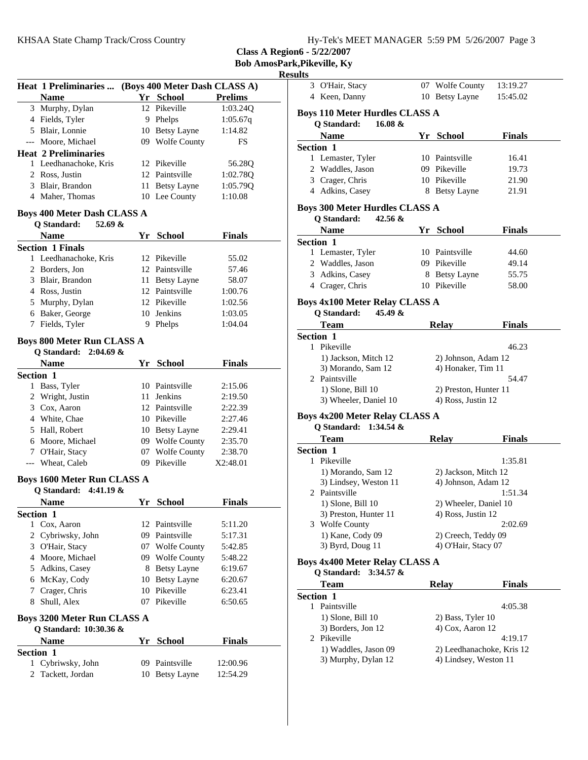|  |  |  |  | Hy-Tek's MEET MANAGER 5:59 PM 5/26/2007 Page 3 |  |  |  |
|--|--|--|--|------------------------------------------------|--|--|--|
|--|--|--|--|------------------------------------------------|--|--|--|

**Class A Region6 - 5/22/2007**

**Bob AmosPark,Pikeville, Ky**

|                  | Heat 1 Preliminaries  (Boys 400 Meter Dash CLASS A) |    |                                |                    |
|------------------|-----------------------------------------------------|----|--------------------------------|--------------------|
|                  | <b>Name</b>                                         |    | Yr School                      | <b>Prelims</b>     |
|                  | 3 Murphy, Dylan                                     |    | 12 Pikeville                   | 1:03.24Q           |
|                  | 4 Fields, Tyler                                     |    | 9 Phelps                       | 1:05.67q           |
|                  | 5 Blair, Lonnie                                     |    | 10 Betsy Layne                 | 1:14.82            |
|                  | --- Moore, Michael                                  |    | 09 Wolfe County                | FS                 |
|                  | <b>Heat 2 Preliminaries</b>                         |    |                                |                    |
|                  | 1 Leedhanachoke, Kris                               |    | 12 Pikeville                   | 56.28Q             |
|                  | 2 Ross, Justin                                      |    | 12 Paintsville                 | 1:02.78Q           |
|                  | 3 Blair, Brandon                                    |    | 11 Betsy Layne                 | 1:05.79Q           |
|                  | 4 Maher, Thomas                                     |    | 10 Lee County                  | 1:10.08            |
|                  | <b>Boys 400 Meter Dash CLASS A</b>                  |    |                                |                    |
|                  | Q Standard:<br>52.69 $\&$<br><b>Name</b>            |    | Yr School                      | Finals             |
|                  | <b>Section 1 Finals</b>                             |    |                                |                    |
|                  | 1 Leedhanachoke, Kris                               |    | 12 Pikeville                   | 55.02              |
|                  | 2 Borders, Jon                                      |    | 12 Paintsville                 | 57.46              |
|                  | 3 Blair, Brandon                                    |    | 11 Betsy Layne                 | 58.07              |
|                  | 4 Ross, Justin                                      |    | 12 Paintsville                 | 1:00.76            |
|                  | 5 Murphy, Dylan                                     |    | 12 Pikeville                   | 1:02.56            |
|                  | 6 Baker, George                                     |    | 10 Jenkins                     | 1:03.05            |
|                  | 7 Fields, Tyler                                     |    | 9 Phelps                       | 1:04.04            |
|                  |                                                     |    |                                |                    |
|                  | <b>Boys 800 Meter Run CLASS A</b>                   |    |                                |                    |
|                  | Q Standard: 2:04.69 &                               |    |                                |                    |
|                  | <b>Name</b>                                         |    | Yr School                      | <b>Finals</b>      |
| <b>Section 1</b> | 1 Bass, Tyler                                       |    | 10 Paintsville                 | 2:15.06            |
|                  | 2 Wright, Justin                                    |    | 11 Jenkins                     | 2:19.50            |
|                  | 3 Cox, Aaron                                        |    | 12 Paintsville                 | 2:22.39            |
|                  | 4 White, Chae                                       |    | 10 Pikeville                   | 2:27.46            |
|                  | 5 Hall, Robert                                      |    | 10 Betsy Layne                 | 2:29.41            |
|                  | 6 Moore, Michael                                    |    | 09 Wolfe County                | 2:35.70            |
|                  | 7 O'Hair, Stacy                                     |    | 07 Wolfe County                | 2:38.70            |
|                  | --- Wheat, Caleb                                    |    | 09 Pikeville                   | X2:48.01           |
|                  |                                                     |    |                                |                    |
|                  | <b>Boys 1600 Meter Run CLASS A</b>                  |    |                                |                    |
|                  | Q Standard:<br>$4:41.19 \&$                         |    |                                |                    |
|                  | Name                                                |    | Yr School                      | <b>Finals</b>      |
| Section 1        |                                                     |    |                                |                    |
| 1                | Cox, Aaron                                          |    | 12 Paintsville                 | 5:11.20            |
| 2                | Cybriwsky, John                                     |    | 09 Paintsville                 | 5:17.31            |
|                  | 3 O'Hair, Stacy                                     |    | 07 Wolfe County                | 5:42.85            |
|                  | 4 Moore, Michael                                    |    | 09 Wolfe County                | 5:48.22            |
|                  | 5 Adkins, Casey                                     |    | 8 Betsy Layne                  | 6:19.67            |
|                  | 6 McKay, Cody                                       |    | 10 Betsy Layne<br>10 Pikeville | 6:20.67<br>6:23.41 |
|                  | 7 Crager, Chris                                     |    | Pikeville                      |                    |
| 8.               | Shull, Alex                                         | 07 |                                | 6:50.65            |
|                  | <b>Boys 3200 Meter Run CLASS A</b>                  |    |                                |                    |
|                  | Q Standard: 10:30.36 &                              |    |                                |                    |
|                  | <b>Name</b>                                         |    | Yr School                      | <b>Finals</b>      |
| Section 1        |                                                     |    |                                |                    |
| 1                | Cybriwsky, John                                     |    | 09 Paintsville                 | 12:00.96           |
| 2                | Tackett, Jordan                                     | 10 | <b>Betsy Layne</b>             | 12:54.29           |
|                  |                                                     |    |                                |                    |

|                  | 3 O'Hair, Stacy                                                    | 07 Wolfe County           | 13:19.27      |
|------------------|--------------------------------------------------------------------|---------------------------|---------------|
|                  | 4 Keen, Danny                                                      | 10 Betsy Layne            | 15:45.02      |
|                  | <b>Boys 110 Meter Hurdles CLASS A</b><br>Q Standard:<br>16.08 &    |                           |               |
|                  | <b>Name</b>                                                        | Yr School                 | <b>Finals</b> |
| <b>Section 1</b> |                                                                    |                           |               |
|                  | 1 Lemaster, Tyler                                                  | 10 Paintsville            | 16.41         |
|                  | 2 Waddles, Jason                                                   | 09 Pikeville              | 19.73         |
|                  | 3 Crager, Chris                                                    | 10 Pikeville              | 21.90         |
|                  | 4 Adkins, Casey                                                    | 8 Betsy Layne             | 21.91         |
|                  | <b>Boys 300 Meter Hurdles CLASS A</b><br>Q Standard:<br>$42.56 \&$ |                           |               |
|                  | <b>Name</b>                                                        | Yr School                 | <b>Finals</b> |
| <b>Section 1</b> |                                                                    |                           |               |
|                  | 1 Lemaster, Tyler                                                  | 10 Paintsville            | 44.60         |
|                  | 2 Waddles, Jason                                                   | 09 Pikeville              | 49.14         |
|                  | 3 Adkins, Casey                                                    | 8 Betsy Layne             | 55.75         |
|                  | 4 Crager, Chris                                                    | 10 Pikeville              | 58.00         |
|                  |                                                                    |                           |               |
|                  | <b>Boys 4x100 Meter Relay CLASS A</b>                              |                           |               |
|                  | <b>Q</b> Standard:<br>45.49 &                                      |                           |               |
|                  | Team                                                               | <b>Relay</b>              | <b>Finals</b> |
| Section 1        |                                                                    |                           |               |
| 1.               | Pikeville                                                          |                           | 46.23         |
|                  | 1) Jackson, Mitch 12                                               | 2) Johnson, Adam 12       |               |
|                  | 3) Morando, Sam 12                                                 | 4) Honaker, Tim 11        |               |
|                  | 2 Paintsville                                                      |                           | 54.47         |
|                  | $1)$ Slone, Bill $10$                                              | 2) Preston, Hunter 11     |               |
|                  | 3) Wheeler, Daniel 10                                              | 4) Ross, Justin 12        |               |
|                  | <b>Boys 4x200 Meter Relay CLASS A</b>                              |                           |               |
|                  | Q Standard:<br>1:34.54 $&$                                         |                           |               |
|                  | <b>Team</b>                                                        | <b>Relay</b>              | <b>Finals</b> |
| <b>Section 1</b> |                                                                    |                           |               |
| 1                | Pikeville                                                          |                           | 1:35.81       |
|                  | 1) Morando, Sam 12                                                 | 2) Jackson, Mitch 12      |               |
|                  | 3) Lindsey, Weston 11                                              | 4) Johnson, Adam 12       |               |
|                  | 2 Paintsville                                                      |                           | 1:51.34       |
|                  | $1)$ Slone, Bill $10$                                              | 2) Wheeler, Daniel 10     |               |
|                  | 3) Preston, Hunter 11                                              | 4) Ross, Justin 12        |               |
|                  | 3 Wolfe County                                                     |                           | 2:02.69       |
|                  | 1) Kane, Cody 09                                                   | 2) Creech, Teddy 09       |               |
|                  | 3) Byrd, Doug 11                                                   | 4) O'Hair, Stacy 07       |               |
|                  | <b>Boys 4x400 Meter Relay CLASS A</b>                              |                           |               |
|                  | Q Standard:<br>$3:34.57$ &                                         |                           |               |
|                  | <b>Team</b>                                                        | <b>Relay</b>              | <b>Finals</b> |
| <b>Section 1</b> |                                                                    |                           |               |
| 1                | Paintsville                                                        |                           | 4:05.38       |
|                  | $1)$ Slone, Bill $10$                                              | 2) Bass, Tyler 10         |               |
|                  | 3) Borders, Jon 12                                                 | 4) Cox, Aaron 12          |               |
|                  | 2 Pikeville                                                        |                           | 4:19.17       |
|                  | 1) Waddles, Jason 09                                               | 2) Leedhanachoke, Kris 12 |               |
|                  | 3) Murphy, Dylan 12                                                | 4) Lindsey, Weston 11     |               |